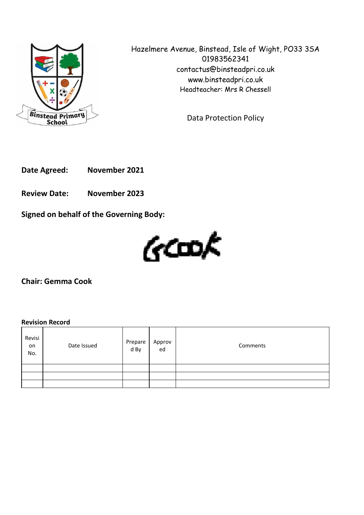

Hazelmere Avenue, Binstead, Isle of Wight, PO33 3SA 01983562341 contactus@binsteadpri.co.uk www.binsteadpri.co.uk Headteacher: Mrs R Chessell

Data Protection Policy

**Date Agreed: November 2021**

**Review Date: November 2023**

**Signed on behalf of the Governing Body:**



**Chair: Gemma Cook**

# **Revision Record**

| Revisi<br>on<br>No. | Date Issued | Prepare<br>d By | Approv<br>ed | Comments |
|---------------------|-------------|-----------------|--------------|----------|
|                     |             |                 |              |          |
|                     |             |                 |              |          |
|                     |             |                 |              |          |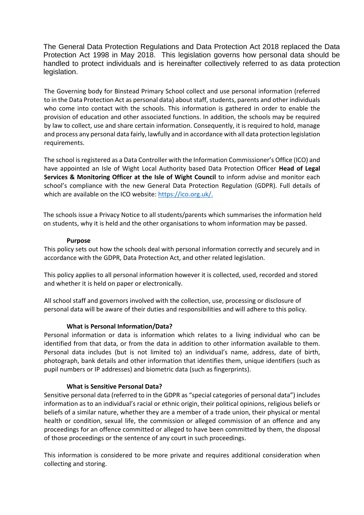The General Data Protection Regulations and Data Protection Act 2018 replaced the Data Protection Act 1998 in May 2018. This legislation governs how personal data should be handled to protect individuals and is hereinafter collectively referred to as data protection legislation.

The Governing body for Binstead Primary School collect and use personal information (referred to in the Data Protection Act as personal data) about staff, students, parents and other individuals who come into contact with the schools. This information is gathered in order to enable the provision of education and other associated functions. In addition, the schools may be required by law to collect, use and share certain information. Consequently, it is required to hold, manage and process any personal data fairly, lawfully and in accordance with all data protection legislation requirements.

The school is registered as a Data Controller with the Information Commissioner's Office (ICO) and have appointed an Isle of Wight Local Authority based Data Protection Officer **Head of Legal Services & Monitoring Officer at the Isle of Wight Council** to inform advise and monitor each school's compliance with the new General Data Protection Regulation (GDPR). Full details of which are available on the ICO website: [https://ico.org.uk/.](https://ico.org.uk/)

The schools issue a Privacy Notice to all students/parents which summarises the information held on students, why it is held and the other organisations to whom information may be passed.

#### **Purpose**

This policy sets out how the schools deal with personal information correctly and securely and in accordance with the GDPR, Data Protection Act, and other related legislation.

This policy applies to all personal information however it is collected, used, recorded and stored and whether it is held on paper or electronically.

All school staff and governors involved with the collection, use, processing or disclosure of personal data will be aware of their duties and responsibilities and will adhere to this policy.

### **What is Personal Information/Data?**

Personal information or data is information which relates to a living individual who can be identified from that data, or from the data in addition to other information available to them. Personal data includes (but is not limited to) an individual's name, address, date of birth, photograph, bank details and other information that identifies them, unique identifiers (such as pupil numbers or IP addresses) and biometric data (such as fingerprints).

#### **What is Sensitive Personal Data?**

Sensitive personal data (referred to in the GDPR as "special categories of personal data") includes information as to an individual's racial or ethnic origin, their political opinions, religious beliefs or beliefs of a similar nature, whether they are a member of a trade union, their physical or mental health or condition, sexual life, the commission or alleged commission of an offence and any proceedings for an offence committed or alleged to have been committed by them, the disposal of those proceedings or the sentence of any court in such proceedings.

This information is considered to be more private and requires additional consideration when collecting and storing.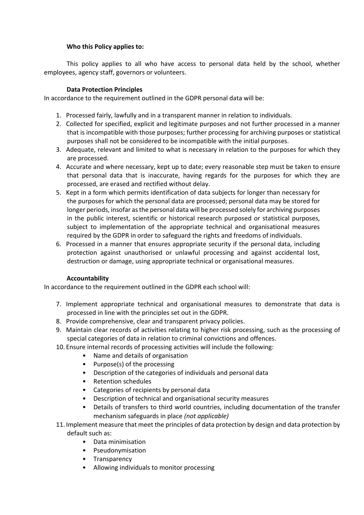# **Who this Policy applies to:**

This policy applies to all who have access to personal data held by the school, whether employees, agency staff, governors or volunteers.

# **Data Protection Principles**

In accordance to the requirement outlined in the GDPR personal data will be:

- 1. Processed fairly, lawfully and in a transparent manner in relation to individuals.
- 2. Collected for specified, explicit and legitimate purposes and not further processed in a manner that is incompatible with those purposes; further processing for archiving purposes or statistical purposes shall not be considered to be incompatible with the initial purposes.
- 3. Adequate, relevant and limited to what is necessary in relation to the purposes for which they are processed.
- 4. Accurate and where necessary, kept up to date; every reasonable step must be taken to ensure that personal data that is inaccurate, having regards for the purposes for which they are processed, are erased and rectified without delay.
- 5. Kept in a form which permits identification of data subjects for longer than necessary for the purposes for which the personal data are processed; personal data may be stored for longer periods, insofar as the personal data will be processed solely for archiving purposes in the public interest, scientific or historical research purposed or statistical purposes, subject to implementation of the appropriate technical and organisational measures required by the GDPR in order to safeguard the rights and freedoms of individuals.
- 6. Processed in a manner that ensures appropriate security if the personal data, including protection against unauthorised or unlawful processing and against accidental lost, destruction or damage, using appropriate technical or organisational measures.

### **Accountability**

In accordance to the requirement outlined in the GDPR each school will:

- 7. Implement appropriate technical and organisational measures to demonstrate that data is processed in line with the principles set out in the GDPR.
- 8. Provide comprehensive, clear and transparent privacy policies.
- 9. Maintain clear records of activities relating to higher risk processing, such as the processing of special categories of data in relation to criminal convictions and offences.
- 10. Ensure internal records of processing activities will include the following:
	- Name and details of organisation
	- Purpose(s) of the processing
	- Description of the categories of individuals and personal data
	- Retention schedules
	- Categories of recipients by personal data
	- Description of technical and organisational security measures
	- Details of transfers to third world countries, including documentation of the transfer mechanism safeguards in place *(not applicable)*
- 11. Implement measure that meet the principles of data protection by design and data protection by default such as:
	- Data minimisation
	- Pseudonymisation
	- Transparency
	- Allowing individuals to monitor processing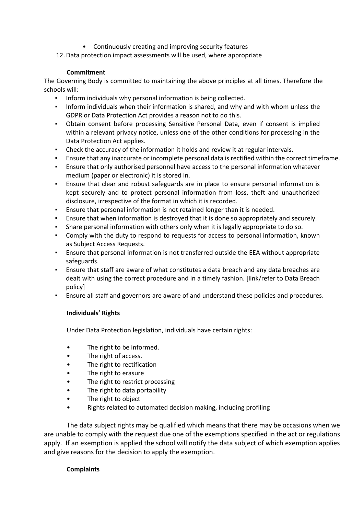- Continuously creating and improving security features
- 12. Data protection impact assessments will be used, where appropriate

# **Commitment**

The Governing Body is committed to maintaining the above principles at all times. Therefore the schools will:

- Inform individuals why personal information is being collected.
- Inform individuals when their information is shared, and why and with whom unless the GDPR or Data Protection Act provides a reason not to do this.
- Obtain consent before processing Sensitive Personal Data, even if consent is implied within a relevant privacy notice, unless one of the other conditions for processing in the Data Protection Act applies.
- Check the accuracy of the information it holds and review it at regular intervals.
- Ensure that any inaccurate or incomplete personal data is rectified within the correct timeframe.
- **•** Ensure that only authorised personnel have access to the personal information whatever medium (paper or electronic) it is stored in.
- Ensure that clear and robust safeguards are in place to ensure personal information is kept securely and to protect personal information from loss, theft and unauthorized disclosure, irrespective of the format in which it is recorded.
- Ensure that personal information is not retained longer than it is needed.
- Ensure that when information is destroyed that it is done so appropriately and securely.
- Share personal information with others only when it is legally appropriate to do so.
- Comply with the duty to respond to requests for access to personal information, known as Subject Access Requests.
- Ensure that personal information is not transferred outside the EEA without appropriate safeguards.
- Ensure that staff are aware of what constitutes a data breach and any data breaches are dealt with using the correct procedure and in a timely fashion. [link/refer to Data Breach policy]
- Ensure all staff and governors are aware of and understand these policies and procedures.

# **Individuals' Rights**

Under Data Protection legislation, individuals have certain rights:

- The right to be informed.
- The right of access.
- The right to rectification
- The right to erasure
- The right to restrict processing
- The right to data portability
- The right to object
- Rights related to automated decision making, including profiling

The data subject rights may be qualified which means that there may be occasions when we are unable to comply with the request due one of the exemptions specified in the act or regulations apply. If an exemption is applied the school will notify the data subject of which exemption applies and give reasons for the decision to apply the exemption.

### **Complaints**